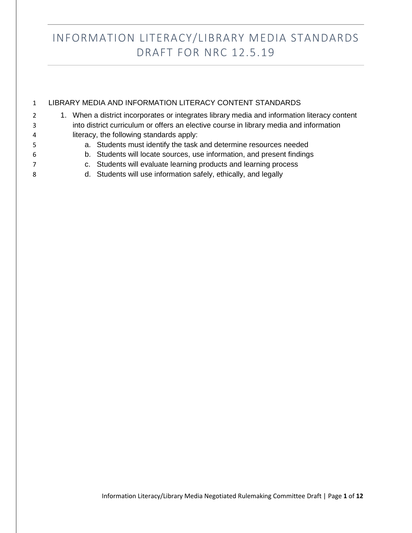|   | LIBRARY MEDIA AND INFORMATION LITERACY CONTENT STANDARDS                                     |
|---|----------------------------------------------------------------------------------------------|
| 2 | 1. When a district incorporates or integrates library media and information literacy content |
| 3 | into district curriculum or offers an elective course in library media and information       |
| 4 | literacy, the following standards apply:                                                     |
| 5 | a. Students must identify the task and determine resources needed                            |
| 6 | b. Students will locate sources, use information, and present findings                       |
| 7 | c. Students will evaluate learning products and learning process                             |
| 8 | d. Students will use information safely, ethically, and legally                              |
|   |                                                                                              |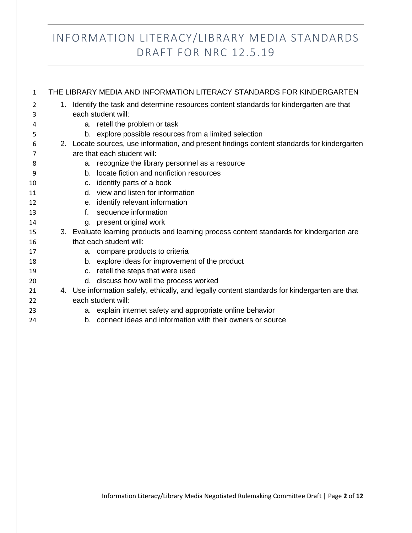| 1  |    | THE LIBRARY MEDIA AND INFORMATION LITERACY STANDARDS FOR KINDERGARTEN                         |
|----|----|-----------------------------------------------------------------------------------------------|
| 2  |    | 1. Identify the task and determine resources content standards for kindergarten are that      |
| 3  |    | each student will:                                                                            |
| 4  |    | a. retell the problem or task                                                                 |
| 5  |    | b. explore possible resources from a limited selection                                        |
| 6  |    | 2. Locate sources, use information, and present findings content standards for kindergarten   |
| 7  |    | are that each student will:                                                                   |
| 8  |    | a. recognize the library personnel as a resource                                              |
| 9  |    | b. locate fiction and nonfiction resources                                                    |
| 10 |    | c. identify parts of a book                                                                   |
| 11 |    | d. view and listen for information                                                            |
| 12 |    | e. identify relevant information                                                              |
| 13 | f. | sequence information                                                                          |
| 14 |    | g. present original work                                                                      |
| 15 |    | 3. Evaluate learning products and learning process content standards for kindergarten are     |
| 16 |    | that each student will:                                                                       |
| 17 |    | a. compare products to criteria                                                               |
| 18 |    | b. explore ideas for improvement of the product                                               |
| 19 |    | c. retell the steps that were used                                                            |
| 20 |    | d. discuss how well the process worked                                                        |
| 21 |    | 4. Use information safely, ethically, and legally content standards for kindergarten are that |
| 22 |    | each student will:                                                                            |
| 23 |    | a. explain internet safety and appropriate online behavior                                    |
| 24 |    | b. connect ideas and information with their owners or source                                  |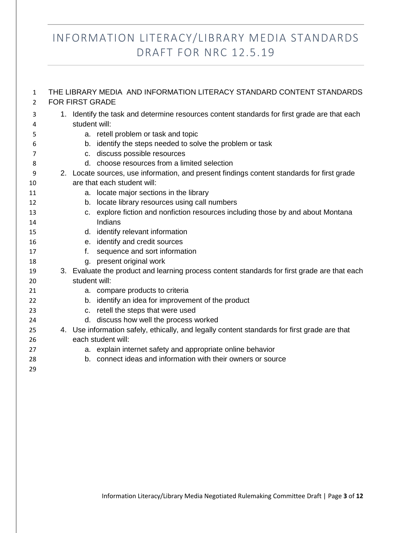| $\mathbf{1}$<br>2 | THE LIBRARY MEDIA AND INFORMATION LITERACY STANDARD CONTENT STANDARDS<br><b>FOR FIRST GRADE</b> |
|-------------------|-------------------------------------------------------------------------------------------------|
| 3                 | 1. Identify the task and determine resources content standards for first grade are that each    |
| 4                 | student will:                                                                                   |
| 5                 | a. retell problem or task and topic                                                             |
| 6                 | b. identify the steps needed to solve the problem or task                                       |
| 7                 | c. discuss possible resources                                                                   |
| 8                 | d. choose resources from a limited selection                                                    |
| 9                 | 2. Locate sources, use information, and present findings content standards for first grade      |
| 10                | are that each student will:                                                                     |
| 11                | a. locate major sections in the library                                                         |
| 12                | b. locate library resources using call numbers                                                  |
| 13                | c. explore fiction and nonfiction resources including those by and about Montana                |
| 14                | Indians                                                                                         |
| 15                | d. identify relevant information                                                                |
| 16                | e. identify and credit sources                                                                  |
| 17                | sequence and sort information<br>f.                                                             |
| 18                | g. present original work                                                                        |
| 19                | 3. Evaluate the product and learning process content standards for first grade are that each    |
| 20                | student will:                                                                                   |
| 21                | a. compare products to criteria                                                                 |
| 22                | b. identify an idea for improvement of the product                                              |
| 23                | c. retell the steps that were used                                                              |
| 24                | d. discuss how well the process worked                                                          |
| 25                | 4. Use information safely, ethically, and legally content standards for first grade are that    |
| 26                | each student will:                                                                              |
| 27                | a. explain internet safety and appropriate online behavior                                      |
| 28                | b. connect ideas and information with their owners or source                                    |
| 29                |                                                                                                 |
|                   |                                                                                                 |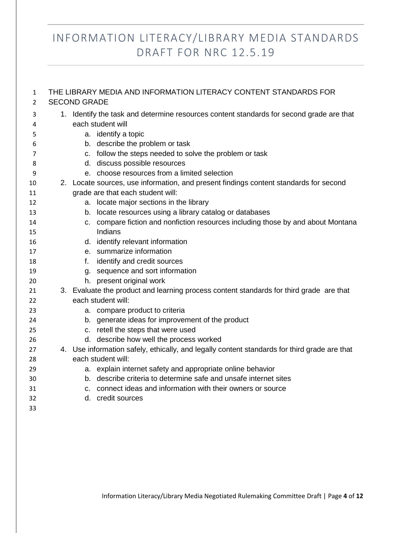| 1              | THE LIBRARY MEDIA AND INFORMATION LITERACY CONTENT STANDARDS FOR |                     |                                                                                                                            |  |
|----------------|------------------------------------------------------------------|---------------------|----------------------------------------------------------------------------------------------------------------------------|--|
| $\overline{2}$ |                                                                  | <b>SECOND GRADE</b> |                                                                                                                            |  |
| 3<br>4         |                                                                  |                     | 1. Identify the task and determine resources content standards for second grade are that<br>each student will              |  |
| 5              |                                                                  |                     | a. identify a topic                                                                                                        |  |
| 6              |                                                                  |                     | b. describe the problem or task                                                                                            |  |
| 7              |                                                                  |                     | c. follow the steps needed to solve the problem or task                                                                    |  |
| 8              |                                                                  |                     | d. discuss possible resources                                                                                              |  |
| 9              |                                                                  |                     | e. choose resources from a limited selection                                                                               |  |
| 10<br>11       |                                                                  |                     | 2. Locate sources, use information, and present findings content standards for second<br>grade are that each student will: |  |
| 12             |                                                                  |                     | a. locate major sections in the library                                                                                    |  |
| 13             |                                                                  |                     | b. locate resources using a library catalog or databases                                                                   |  |
| 14             |                                                                  |                     | c. compare fiction and nonfiction resources including those by and about Montana                                           |  |
| 15             |                                                                  |                     | Indians                                                                                                                    |  |
| 16             |                                                                  |                     | d. identify relevant information                                                                                           |  |
| 17             |                                                                  |                     | e. summarize information                                                                                                   |  |
| 18             |                                                                  | $f_{\star}$         | identify and credit sources                                                                                                |  |
| 19             |                                                                  |                     | g. sequence and sort information                                                                                           |  |
| 20             |                                                                  |                     | h. present original work                                                                                                   |  |
| 21             |                                                                  |                     | 3. Evaluate the product and learning process content standards for third grade are that                                    |  |
| 22             |                                                                  |                     | each student will:                                                                                                         |  |
| 23             |                                                                  |                     | a. compare product to criteria                                                                                             |  |
| 24             |                                                                  |                     | b. generate ideas for improvement of the product                                                                           |  |
| 25             |                                                                  |                     | c. retell the steps that were used                                                                                         |  |
| 26             |                                                                  |                     | d. describe how well the process worked                                                                                    |  |
| 27             |                                                                  |                     | 4. Use information safely, ethically, and legally content standards for third grade are that                               |  |
| 28             |                                                                  |                     | each student will:                                                                                                         |  |
| 29             |                                                                  |                     | a. explain internet safety and appropriate online behavior                                                                 |  |
| 30             |                                                                  |                     | b. describe criteria to determine safe and unsafe internet sites                                                           |  |
| 31             |                                                                  | C.                  | connect ideas and information with their owners or source                                                                  |  |
| 32             |                                                                  |                     | d. credit sources                                                                                                          |  |
| 33             |                                                                  |                     |                                                                                                                            |  |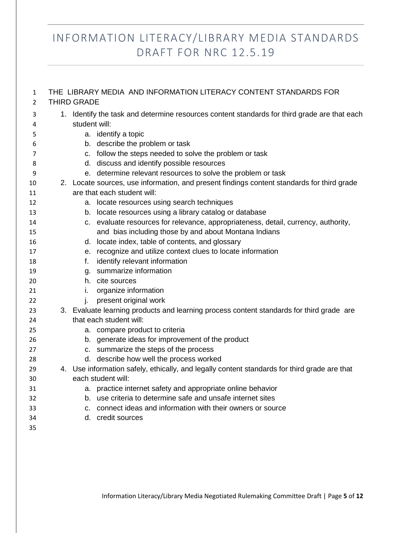| $\mathbf{1}$<br>$\overline{2}$ | <b>THIRD GRADE</b> | THE LIBRARY MEDIA AND INFORMATION LITERACY CONTENT STANDARDS FOR                             |
|--------------------------------|--------------------|----------------------------------------------------------------------------------------------|
|                                |                    |                                                                                              |
| 3                              |                    | 1. Identify the task and determine resources content standards for third grade are that each |
| 4                              | student will:      |                                                                                              |
| 5                              |                    | a. identify a topic                                                                          |
| 6                              |                    | b. describe the problem or task                                                              |
| 7                              |                    | c. follow the steps needed to solve the problem or task                                      |
| 8                              |                    | d. discuss and identify possible resources                                                   |
| 9                              |                    | e. determine relevant resources to solve the problem or task                                 |
| 10                             |                    | 2. Locate sources, use information, and present findings content standards for third grade   |
| 11                             |                    | are that each student will:                                                                  |
| 12                             |                    | a. locate resources using search techniques                                                  |
| 13                             |                    | b. locate resources using a library catalog or database                                      |
| 14                             |                    | c. evaluate resources for relevance, appropriateness, detail, currency, authority,           |
| 15                             |                    | and bias including those by and about Montana Indians                                        |
| 16                             |                    | d. locate index, table of contents, and glossary                                             |
| 17                             |                    | e. recognize and utilize context clues to locate information                                 |
| 18                             | f.                 | identify relevant information                                                                |
| 19                             |                    | g. summarize information                                                                     |
| 20                             |                    | h. cite sources                                                                              |
| 21                             | i.                 | organize information                                                                         |
| 22                             | İ.                 | present original work                                                                        |
| 23                             |                    | 3. Evaluate learning products and learning process content standards for third grade are     |
| 24                             |                    | that each student will:                                                                      |
| 25                             |                    | a. compare product to criteria                                                               |
| 26                             |                    | b. generate ideas for improvement of the product                                             |
| 27                             |                    | c. summarize the steps of the process                                                        |
| 28                             |                    | d. describe how well the process worked                                                      |
| 29                             |                    | 4. Use information safely, ethically, and legally content standards for third grade are that |
| 30                             |                    | each student will:                                                                           |
| 31                             |                    | a. practice internet safety and appropriate online behavior                                  |
| 32                             |                    | b. use criteria to determine safe and unsafe internet sites                                  |
| 33                             |                    | c. connect ideas and information with their owners or source                                 |
| 34                             |                    | d. credit sources                                                                            |
| 35                             |                    |                                                                                              |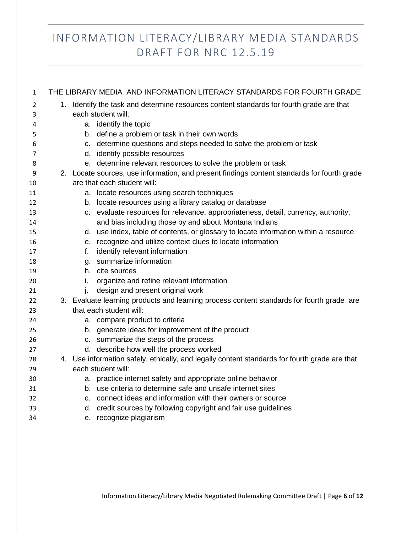| 1  |    | THE LIBRARY MEDIA AND INFORMATION LITERACY STANDARDS FOR FOURTH GRADE                         |
|----|----|-----------------------------------------------------------------------------------------------|
| 2  |    | 1. Identify the task and determine resources content standards for fourth grade are that      |
| 3  |    | each student will:                                                                            |
| 4  |    | a. identify the topic                                                                         |
| 5  |    | b. define a problem or task in their own words                                                |
| 6  |    | c. determine questions and steps needed to solve the problem or task                          |
| 7  |    | d. identify possible resources                                                                |
| 8  |    | e. determine relevant resources to solve the problem or task                                  |
| 9  |    | 2. Locate sources, use information, and present findings content standards for fourth grade   |
| 10 |    | are that each student will:                                                                   |
| 11 |    | a. locate resources using search techniques                                                   |
| 12 |    | b. locate resources using a library catalog or database                                       |
| 13 |    | c. evaluate resources for relevance, appropriateness, detail, currency, authority,            |
| 14 |    | and bias including those by and about Montana Indians                                         |
| 15 |    | d. use index, table of contents, or glossary to locate information within a resource          |
| 16 |    | e. recognize and utilize context clues to locate information                                  |
| 17 | f. | identify relevant information                                                                 |
| 18 |    | g. summarize information                                                                      |
| 19 |    | h. cite sources                                                                               |
| 20 | İ. | organize and refine relevant information                                                      |
| 21 | i. | design and present original work                                                              |
| 22 |    | 3. Evaluate learning products and learning process content standards for fourth grade are     |
| 23 |    | that each student will:                                                                       |
| 24 |    | a. compare product to criteria                                                                |
| 25 |    | b. generate ideas for improvement of the product                                              |
| 26 |    | c. summarize the steps of the process                                                         |
| 27 |    | d. describe how well the process worked                                                       |
| 28 |    | 4. Use information safely, ethically, and legally content standards for fourth grade are that |
| 29 |    | each student will:                                                                            |
| 30 |    | a. practice internet safety and appropriate online behavior                                   |
| 31 |    | b. use criteria to determine safe and unsafe internet sites                                   |
| 32 |    | c. connect ideas and information with their owners or source                                  |
| 33 |    | d. credit sources by following copyright and fair use guidelines                              |
| 34 |    | e. recognize plagiarism                                                                       |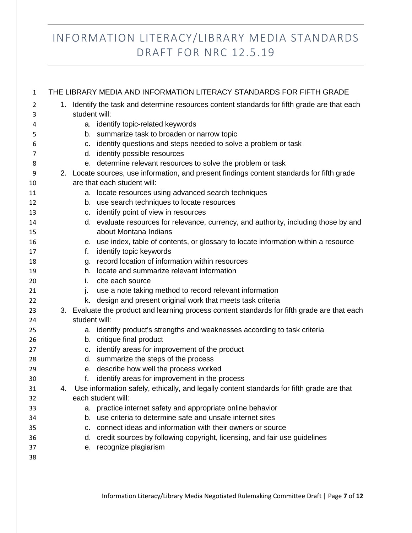| $\mathbf{1}$ |                                                                                              |                                                                                              | THE LIBRARY MEDIA AND INFORMATION LITERACY STANDARDS FOR FIFTH GRADE                                                                       |  |  |
|--------------|----------------------------------------------------------------------------------------------|----------------------------------------------------------------------------------------------|--------------------------------------------------------------------------------------------------------------------------------------------|--|--|
| 2            | 1. Identify the task and determine resources content standards for fifth grade are that each |                                                                                              |                                                                                                                                            |  |  |
| 3            |                                                                                              | student will:                                                                                |                                                                                                                                            |  |  |
| 4            |                                                                                              |                                                                                              | a. identify topic-related keywords                                                                                                         |  |  |
| 5            |                                                                                              |                                                                                              | b. summarize task to broaden or narrow topic                                                                                               |  |  |
| 6            |                                                                                              |                                                                                              | c. identify questions and steps needed to solve a problem or task                                                                          |  |  |
| 7            |                                                                                              |                                                                                              | d. identify possible resources                                                                                                             |  |  |
| 8            |                                                                                              |                                                                                              | e. determine relevant resources to solve the problem or task                                                                               |  |  |
| 9            |                                                                                              |                                                                                              | 2. Locate sources, use information, and present findings content standards for fifth grade                                                 |  |  |
| 10           |                                                                                              |                                                                                              | are that each student will:                                                                                                                |  |  |
| 11           |                                                                                              |                                                                                              | a. locate resources using advanced search techniques                                                                                       |  |  |
| 12           |                                                                                              |                                                                                              | b. use search techniques to locate resources                                                                                               |  |  |
| 13           |                                                                                              |                                                                                              | c. identify point of view in resources                                                                                                     |  |  |
| 14           |                                                                                              |                                                                                              | d. evaluate resources for relevance, currency, and authority, including those by and                                                       |  |  |
| 15           |                                                                                              |                                                                                              | about Montana Indians                                                                                                                      |  |  |
| 16           |                                                                                              |                                                                                              | e. use index, table of contents, or glossary to locate information within a resource                                                       |  |  |
| 17           |                                                                                              | f.                                                                                           | identify topic keywords                                                                                                                    |  |  |
| 18           |                                                                                              |                                                                                              | g. record location of information within resources                                                                                         |  |  |
| 19           |                                                                                              |                                                                                              | h. locate and summarize relevant information                                                                                               |  |  |
| 20           |                                                                                              | L.                                                                                           | cite each source                                                                                                                           |  |  |
| 21           |                                                                                              | ı.                                                                                           | use a note taking method to record relevant information                                                                                    |  |  |
| 22           |                                                                                              | k.                                                                                           | design and present original work that meets task criteria                                                                                  |  |  |
| 23           |                                                                                              | 3. Evaluate the product and learning process content standards for fifth grade are that each |                                                                                                                                            |  |  |
| 24           |                                                                                              | student will:                                                                                |                                                                                                                                            |  |  |
| 25           |                                                                                              |                                                                                              | a. identify product's strengths and weaknesses according to task criteria                                                                  |  |  |
| 26           |                                                                                              |                                                                                              | b. critique final product                                                                                                                  |  |  |
| 27           |                                                                                              |                                                                                              | c. identify areas for improvement of the product                                                                                           |  |  |
| 28           |                                                                                              |                                                                                              | d. summarize the steps of the process                                                                                                      |  |  |
| 29           |                                                                                              | f.                                                                                           | e. describe how well the process worked                                                                                                    |  |  |
| 30<br>31     | 4.                                                                                           |                                                                                              | identify areas for improvement in the process<br>Use information safely, ethically, and legally content standards for fifth grade are that |  |  |
| 32           |                                                                                              |                                                                                              | each student will:                                                                                                                         |  |  |
| 33           |                                                                                              |                                                                                              | a. practice internet safety and appropriate online behavior                                                                                |  |  |
| 34           |                                                                                              |                                                                                              | b. use criteria to determine safe and unsafe internet sites                                                                                |  |  |
| 35           |                                                                                              |                                                                                              | c. connect ideas and information with their owners or source                                                                               |  |  |
| 36           |                                                                                              |                                                                                              | d. credit sources by following copyright, licensing, and fair use guidelines                                                               |  |  |
| 37           |                                                                                              |                                                                                              | e. recognize plagiarism                                                                                                                    |  |  |
| 38           |                                                                                              |                                                                                              |                                                                                                                                            |  |  |
|              |                                                                                              |                                                                                              |                                                                                                                                            |  |  |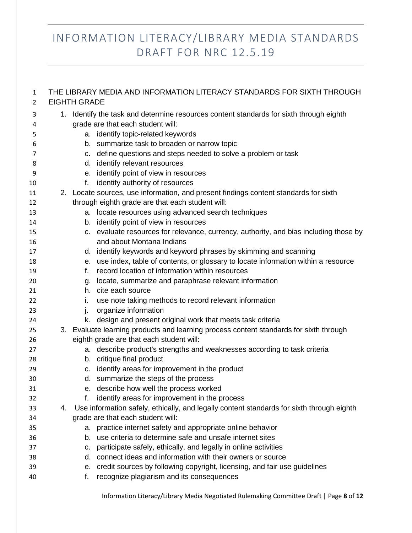| $\mathbf{1}$<br>$\overline{2}$ | THE LIBRARY MEDIA AND INFORMATION LITERACY STANDARDS FOR SIXTH THROUGH<br><b>EIGHTH GRADE</b> |    |                                                                                           |  |
|--------------------------------|-----------------------------------------------------------------------------------------------|----|-------------------------------------------------------------------------------------------|--|
| 3                              | 1. Identify the task and determine resources content standards for sixth through eighth       |    |                                                                                           |  |
| 4                              |                                                                                               |    | grade are that each student will:                                                         |  |
| 5                              |                                                                                               |    | a. identify topic-related keywords                                                        |  |
| 6                              |                                                                                               |    | b. summarize task to broaden or narrow topic                                              |  |
| 7                              |                                                                                               |    | c. define questions and steps needed to solve a problem or task                           |  |
| 8                              |                                                                                               |    | d. identify relevant resources                                                            |  |
| 9                              |                                                                                               |    | e. identify point of view in resources                                                    |  |
| 10                             |                                                                                               | f. | identify authority of resources                                                           |  |
| 11                             |                                                                                               |    | 2. Locate sources, use information, and present findings content standards for sixth      |  |
| 12                             |                                                                                               |    | through eighth grade are that each student will:                                          |  |
| 13                             |                                                                                               |    | a. locate resources using advanced search techniques                                      |  |
| 14                             |                                                                                               |    | b. identify point of view in resources                                                    |  |
| 15                             |                                                                                               |    | c. evaluate resources for relevance, currency, authority, and bias including those by     |  |
| 16                             |                                                                                               |    | and about Montana Indians                                                                 |  |
| 17                             |                                                                                               |    | d. identify keywords and keyword phrases by skimming and scanning                         |  |
| 18                             |                                                                                               |    | e. use index, table of contents, or glossary to locate information within a resource      |  |
| 19                             |                                                                                               | f. | record location of information within resources                                           |  |
| 20                             |                                                                                               |    | g. locate, summarize and paraphrase relevant information                                  |  |
| 21                             |                                                                                               |    | h. cite each source                                                                       |  |
| 22                             |                                                                                               | i. | use note taking methods to record relevant information                                    |  |
| 23                             |                                                                                               | j. | organize information                                                                      |  |
| 24                             |                                                                                               |    | k. design and present original work that meets task criteria                              |  |
| 25                             | 3. Evaluate learning products and learning process content standards for sixth through        |    |                                                                                           |  |
| 26                             |                                                                                               |    | eighth grade are that each student will:                                                  |  |
| 27                             |                                                                                               |    | a. describe product's strengths and weaknesses according to task criteria                 |  |
| 28                             |                                                                                               |    | b. critique final product                                                                 |  |
| 29                             |                                                                                               |    | c. identify areas for improvement in the product                                          |  |
| 30                             |                                                                                               |    | d. summarize the steps of the process                                                     |  |
| 31                             |                                                                                               |    | e. describe how well the process worked                                                   |  |
| 32                             |                                                                                               | f. | identify areas for improvement in the process                                             |  |
| 33                             | 4.                                                                                            |    | Use information safely, ethically, and legally content standards for sixth through eighth |  |
| 34                             |                                                                                               |    | grade are that each student will:                                                         |  |
| 35                             |                                                                                               | а. | practice internet safety and appropriate online behavior                                  |  |
| 36                             |                                                                                               | b. | use criteria to determine safe and unsafe internet sites                                  |  |
| 37                             |                                                                                               | c. | participate safely, ethically, and legally in online activities                           |  |
| 38                             |                                                                                               | d. | connect ideas and information with their owners or source                                 |  |
| 39                             |                                                                                               | е. | credit sources by following copyright, licensing, and fair use guidelines                 |  |
| 40                             |                                                                                               | f. | recognize plagiarism and its consequences                                                 |  |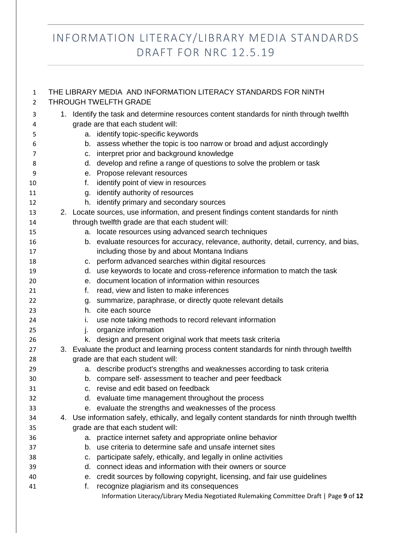| $\mathbf{1}$<br>2 |                                                                                             |    | THE LIBRARY MEDIA AND INFORMATION LITERACY STANDARDS FOR NINTH<br><b>THROUGH TWELFTH GRADE</b> |
|-------------------|---------------------------------------------------------------------------------------------|----|------------------------------------------------------------------------------------------------|
| 3                 | Identify the task and determine resources content standards for ninth through twelfth<br>1. |    |                                                                                                |
| 4                 | grade are that each student will:                                                           |    |                                                                                                |
| 5                 |                                                                                             |    | a. identify topic-specific keywords                                                            |
| 6                 |                                                                                             |    | b. assess whether the topic is too narrow or broad and adjust accordingly                      |
| 7                 |                                                                                             |    | c. interpret prior and background knowledge                                                    |
| 8                 |                                                                                             |    | d. develop and refine a range of questions to solve the problem or task                        |
| 9                 |                                                                                             |    | e. Propose relevant resources                                                                  |
| 10                |                                                                                             | f. | identify point of view in resources                                                            |
| 11                |                                                                                             |    | g. identify authority of resources                                                             |
| 12                |                                                                                             |    | h. identify primary and secondary sources                                                      |
| 13                |                                                                                             |    | 2. Locate sources, use information, and present findings content standards for ninth           |
| 14                |                                                                                             |    | through twelfth grade are that each student will:                                              |
| 15                |                                                                                             |    | a. locate resources using advanced search techniques                                           |
| 16                |                                                                                             |    | b. evaluate resources for accuracy, relevance, authority, detail, currency, and bias,          |
| 17                |                                                                                             |    | including those by and about Montana Indians                                                   |
| 18                |                                                                                             |    | c. perform advanced searches within digital resources                                          |
| 19                |                                                                                             |    | d. use keywords to locate and cross-reference information to match the task                    |
| 20                |                                                                                             |    | e. document location of information within resources                                           |
| 21                |                                                                                             | f. | read, view and listen to make inferences                                                       |
| 22                |                                                                                             | g. | summarize, paraphrase, or directly quote relevant details                                      |
| 23                |                                                                                             |    | h. cite each source                                                                            |
| 24                |                                                                                             | İ. | use note taking methods to record relevant information                                         |
| 25                |                                                                                             | ı. | organize information                                                                           |
| 26                |                                                                                             |    | k. design and present original work that meets task criteria                                   |
| 27                |                                                                                             |    | 3. Evaluate the product and learning process content standards for ninth through twelfth       |
| 28                |                                                                                             |    | grade are that each student will:                                                              |
| 29                |                                                                                             |    | a. describe product's strengths and weaknesses according to task criteria                      |
| 30                |                                                                                             |    | b. compare self- assessment to teacher and peer feedback                                       |
| 31                |                                                                                             |    | revise and edit based on feedback                                                              |
| 32                |                                                                                             |    | d. evaluate time management throughout the process                                             |
| 33                |                                                                                             |    | e. evaluate the strengths and weaknesses of the process                                        |
| 34                |                                                                                             |    | 4. Use information safely, ethically, and legally content standards for ninth through twelfth  |
| 35                |                                                                                             |    | grade are that each student will:                                                              |
| 36                |                                                                                             |    | a. practice internet safety and appropriate online behavior                                    |
| 37                |                                                                                             | b. | use criteria to determine safe and unsafe internet sites                                       |
| 38                |                                                                                             | C. | participate safely, ethically, and legally in online activities                                |
| 39                |                                                                                             | d. | connect ideas and information with their owners or source                                      |
| 40                |                                                                                             |    | e. credit sources by following copyright, licensing, and fair use guidelines                   |
| 41                |                                                                                             | f. | recognize plagiarism and its consequences                                                      |
|                   |                                                                                             |    | Information Literacy/Library Media Negotiated Rulemaking Committee Draft   Page 9 of 12        |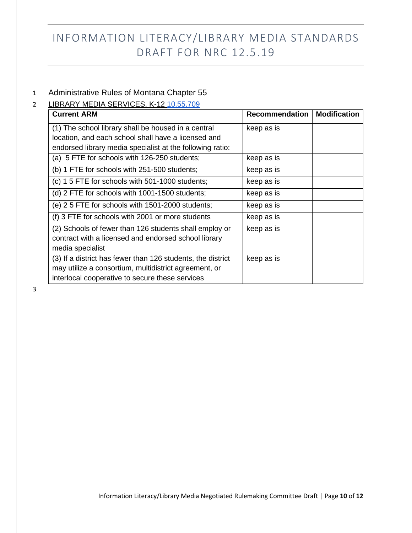#### 1 Administrative Rules of Montana Chapter 55

#### 2 LIBRARY MEDIA SERVICES, K-12 [10.55.709](http://mtrules.org/gateway/ruleno.asp?RN=10%2E55%2E709)

| <b>Current ARM</b>                                          | Recommendation | <b>Modification</b> |
|-------------------------------------------------------------|----------------|---------------------|
| (1) The school library shall be housed in a central         | keep as is     |                     |
| location, and each school shall have a licensed and         |                |                     |
| endorsed library media specialist at the following ratio:   |                |                     |
| (a) 5 FTE for schools with 126-250 students;                | keep as is     |                     |
| (b) 1 FTE for schools with 251-500 students;                | keep as is     |                     |
| (c) 1 5 FTE for schools with 501-1000 students;             | keep as is     |                     |
| (d) 2 FTE for schools with 1001-1500 students;              | keep as is     |                     |
| (e) 2 5 FTE for schools with 1501-2000 students;            | keep as is     |                     |
| (f) 3 FTE for schools with 2001 or more students            | keep as is     |                     |
| (2) Schools of fewer than 126 students shall employ or      | keep as is     |                     |
| contract with a licensed and endorsed school library        |                |                     |
| media specialist                                            |                |                     |
| (3) If a district has fewer than 126 students, the district | keep as is     |                     |
| may utilize a consortium, multidistrict agreement, or       |                |                     |
| interlocal cooperative to secure these services             |                |                     |

3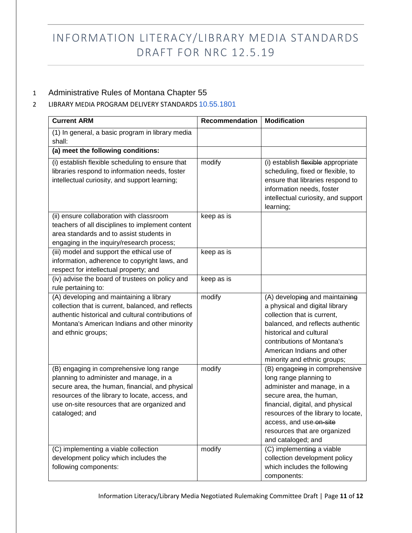#### 1 Administrative Rules of Montana Chapter 55

#### 2 LIBRARY MEDIA PROGRAM DELIVERY STANDARDS [10.55.1801](http://mtrules.org/gateway/ruleno.asp?RN=10%2E55%2E1801)

| <b>Current ARM</b>                                                                                                                                                                                                                                          | <b>Recommendation</b> | <b>Modification</b>                                                                                                                                                                                                                                                            |
|-------------------------------------------------------------------------------------------------------------------------------------------------------------------------------------------------------------------------------------------------------------|-----------------------|--------------------------------------------------------------------------------------------------------------------------------------------------------------------------------------------------------------------------------------------------------------------------------|
| (1) In general, a basic program in library media<br>shall:                                                                                                                                                                                                  |                       |                                                                                                                                                                                                                                                                                |
| (a) meet the following conditions:                                                                                                                                                                                                                          |                       |                                                                                                                                                                                                                                                                                |
| (i) establish flexible scheduling to ensure that<br>libraries respond to information needs, foster<br>intellectual curiosity, and support learning;                                                                                                         | modify                | (i) establish flexible appropriate<br>scheduling, fixed or flexible, to<br>ensure that libraries respond to<br>information needs, foster<br>intellectual curiosity, and support<br>learning;                                                                                   |
| (ii) ensure collaboration with classroom<br>teachers of all disciplines to implement content<br>area standards and to assist students in<br>engaging in the inquiry/research process;                                                                       | keep as is            |                                                                                                                                                                                                                                                                                |
| (iii) model and support the ethical use of<br>information, adherence to copyright laws, and<br>respect for intellectual property; and                                                                                                                       | keep as is            |                                                                                                                                                                                                                                                                                |
| (iv) advise the board of trustees on policy and<br>rule pertaining to:                                                                                                                                                                                      | keep as is            |                                                                                                                                                                                                                                                                                |
| (A) developing and maintaining a library<br>collection that is current, balanced, and reflects<br>authentic historical and cultural contributions of<br>Montana's American Indians and other minority<br>and ethnic groups;                                 | modify                | (A) developing and maintaining<br>a physical and digital library<br>collection that is current,<br>balanced, and reflects authentic<br>historical and cultural<br>contributions of Montana's<br>American Indians and other<br>minority and ethnic groups;                      |
| (B) engaging in comprehensive long range<br>planning to administer and manage, in a<br>secure area, the human, financial, and physical<br>resources of the library to locate, access, and<br>use on-site resources that are organized and<br>cataloged; and | modify                | (B) engageing in comprehensive<br>long range planning to<br>administer and manage, in a<br>secure area, the human,<br>financial, digital, and physical<br>resources of the library to locate,<br>access, and use on-site<br>resources that are organized<br>and cataloged; and |
| (C) implementing a viable collection<br>development policy which includes the<br>following components:                                                                                                                                                      | modify                | (C) implementing a viable<br>collection development policy<br>which includes the following<br>components:                                                                                                                                                                      |